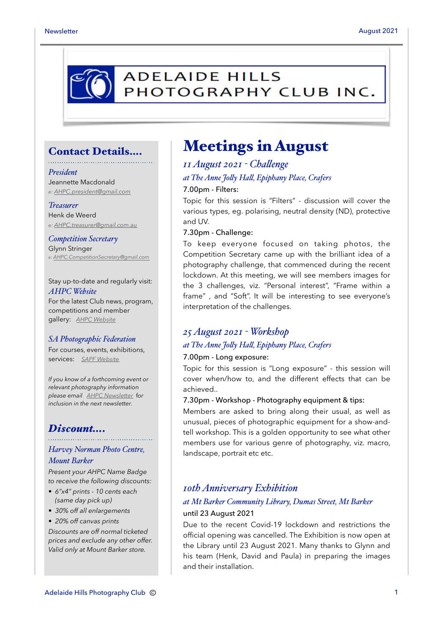

#### Contact Details….

#### *President*

Jeannette Macdonald *e: [AHPC.president@gmail.com](mailto:AHPC.president@gmail.com)*

#### *Treasurer*

Henk de Weerd *e: [AHPC.treasurer@gmail.com.au](mailto:AHPC.treasurer@gmail.com.au)*

*Competition Secretary* Glynn Stringer *e: [AHPC.CompetitionSecretary@gmail.com](mailto:AHPC.CompetitionSecretary@gmail.com)*

Stay up-to-date and regularly visit: *AHPC Website* For the latest Club news, program, competitions and member gallery: *[AHPC Website](http://www.adelaidehillsphotographyclub.com.au)*

#### *SA Photographic Federation*

For courses, events, exhibitions, services: *[SAPF Website](https://www.sapf.org.au)*

*If you know of a forthcoming event or relevant photography information please email [AHPC Newsletter](mailto:paulaphotoclick@gmail.com)* f*or inclusion in the next newsletter.* 

### *Discount….*

#### *Harvey Norman Photo Centre, Mount Barker*

*Present your AHPC Name Badge to receive the following discounts:* 

- *6"x4" prints 10 cents each (same day pick up)*
- *30% off all enlargements*
- *20% off canvas prints*

*Discounts are off normal ticketed prices and exclude any other offer. Valid only at Mount Barker store.*

### Meetings in August

*11 August 2021 - Chalenge at The Anne Joly Hal, Epiphany Place, Crafers* 7.00pm - Filters:

Topic for this session is "Filters" - discussion will cover the various types, eg. polarising, neutral density (ND), protective and UV.

#### 7.30pm - Challenge:

To keep everyone focused on taking photos, the Competition Secretary came up with the brilliant idea of a photography challenge, that commenced during the recent lockdown. At this meeting, we will see members images for the 3 challenges, viz. "Personal interest", "Frame within a frame" , and "Soft". It will be interesting to see everyone's interpretation of the challenges.

#### *25 August 2021 - Workshop at The Anne Joly Hal, Epiphany Place, Crafers*

#### 7.00pm - Long exposure:

Topic for this session is "Long exposure" - this session will cover when/how to, and the different effects that can be achieved..

#### 7.30pm - Workshop - Photography equipment & tips:

Members are asked to bring along their usual, as well as unusual, pieces of photographic equipment for a show-andtell workshop. This is a golden opportunity to see what other members use for various genre of photography, viz. macro, landscape, portrait etc etc.

#### *10th Anniversary Exhibition*

#### *at Mt Barker Community Library, Dumas Street, Mt Barker* until 23 August 2021

Due to the recent Covid-19 lockdown and restrictions the official opening was cancelled. The Exhibition is now open at the Library until 23 August 2021. Many thanks to Glynn and his team (Henk, David and Paula) in preparing the images and their installation.